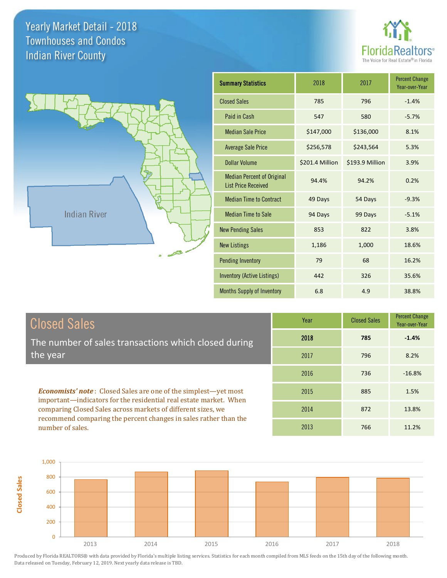number of sales.

**Closed Sales**





| <b>Summary Statistics</b>                                       | 2018            | 2017            | <b>Percent Change</b><br>Year-over-Year |
|-----------------------------------------------------------------|-----------------|-----------------|-----------------------------------------|
| <b>Closed Sales</b>                                             | 785             | 796             | $-1.4%$                                 |
| Paid in Cash                                                    | 547             | 580             | $-5.7%$                                 |
| <b>Median Sale Price</b>                                        | \$147,000       | \$136,000       | 8.1%                                    |
| <b>Average Sale Price</b>                                       | \$256,578       | \$243,564       | 5.3%                                    |
| Dollar Volume                                                   | \$201.4 Million | \$193.9 Million | 3.9%                                    |
| <b>Median Percent of Original</b><br><b>List Price Received</b> | 94.4%           | 94.2%           | 0.2%                                    |
| <b>Median Time to Contract</b>                                  | 49 Days         | 54 Days         | $-9.3%$                                 |
| <b>Median Time to Sale</b>                                      | 94 Days         | 99 Days         | $-5.1%$                                 |
| <b>New Pending Sales</b>                                        | 853             | 822             | 3.8%                                    |
| <b>New Listings</b>                                             | 1,186           | 1,000           | 18.6%                                   |
| <b>Pending Inventory</b>                                        | 79              | 68              | 16.2%                                   |
| <b>Inventory (Active Listings)</b>                              | 442             | 326             | 35.6%                                   |
| <b>Months Supply of Inventory</b>                               | 6.8             | 4.9             | 38.8%                                   |

2013 766

11.2%

| <b>Closed Sales</b>                                                                                                               | Year | <b>Closed Sales</b> | <b>Percent Change</b><br>Year-over-Year |
|-----------------------------------------------------------------------------------------------------------------------------------|------|---------------------|-----------------------------------------|
| The number of sales transactions which closed during                                                                              | 2018 | 785                 | $-1.4%$                                 |
| the year                                                                                                                          | 2017 | 796                 | 8.2%                                    |
|                                                                                                                                   | 2016 | 736                 | $-16.8%$                                |
| <b>Economists' note:</b> Closed Sales are one of the simplest—yet most                                                            | 2015 | 885                 | 1.5%                                    |
| important—indicators for the residential real estate market. When<br>comparing Closed Sales across markets of different sizes, we | 2014 | 872                 | 13.8%                                   |
| recommend comparing the percent changes in sales rather than the                                                                  |      |                     |                                         |

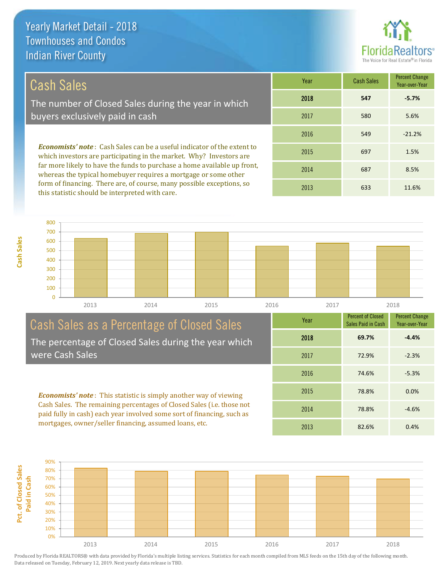

## Cash Sales

The number of Closed Sales during the year in which buyers exclusively paid in cash

*Economists' note* : Cash Sales can be a useful indicator of the extent to which investors are participating in the market. Why? Investors are far more likely to have the funds to purchase a home available up front, whereas the typical homebuyer requires a mortgage or some other form of financing. There are, of course, many possible exceptions, so this statistic should be interpreted with care.

| Year | <b>Cash Sales</b> | <b>Percent Change</b><br>Year-over-Year |  |  |
|------|-------------------|-----------------------------------------|--|--|
| 2018 | 547               | $-5.7%$                                 |  |  |
| 2017 | 580               | 5.6%                                    |  |  |
| 2016 | 549               | $-21.2%$                                |  |  |
| 2015 | 697               | 1.5%                                    |  |  |
| 2014 | 687               | 8.5%                                    |  |  |
| 2013 | 633               | 11.6%                                   |  |  |



## Cash Sales as a Percentage of Closed Sales The percentage of Closed Sales during the year which

were Cash Sales

*Economists' note* : This statistic is simply another way of viewing Cash Sales. The remaining percentages of Closed Sales (i.e. those not paid fully in cash) each year involved some sort of financing, such as mortgages, owner/seller financing, assumed loans, etc.



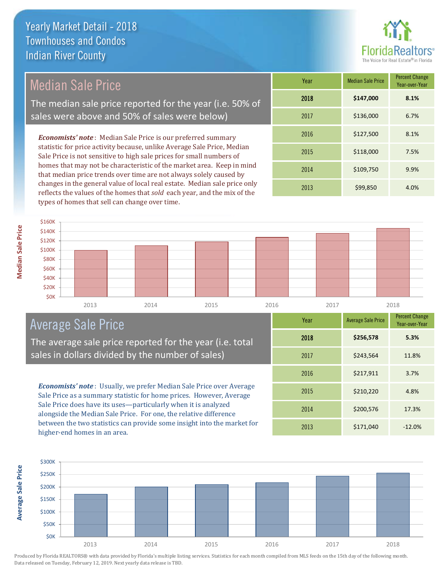

Median Sale Price

The median sale price reported for the year (i.e. 50% of sales were above and 50% of sales were below)

*Economists' note* : Median Sale Price is our preferred summary statistic for price activity because, unlike Average Sale Price, Median Sale Price is not sensitive to high sale prices for small numbers of homes that may not be characteristic of the market area. Keep in mind that median price trends over time are not always solely caused by changes in the general value of local real estate. Median sale price only reflects the values of the homes that *sold* each year, and the mix of the types of homes that sell can change over time.

| Year | <b>Median Sale Price</b> | <b>Percent Change</b><br>Year-over-Year |
|------|--------------------------|-----------------------------------------|
| 2018 | \$147,000                | 8.1%                                    |
| 2017 | \$136,000                | 6.7%                                    |
| 2016 | \$127,500                | 8.1%                                    |
| 2015 | \$118,000                | 7.5%                                    |
| 2014 | \$109,750                | 9.9%                                    |
| 2013 | \$99,850                 | 4.0%                                    |



## Average Sale Price

The average sale price reported for the year (i.e. total sales in dollars divided by the number of sales)

*Economists' note* : Usually, we prefer Median Sale Price over Average Sale Price as a summary statistic for home prices. However, Average Sale Price does have its uses—particularly when it is analyzed alongside the Median Sale Price. For one, the relative difference between the two statistics can provide some insight into the market for higher-end homes in an area.

| Year | <b>Average Sale Price</b> | <b>Percent Change</b><br>Year-over-Year |
|------|---------------------------|-----------------------------------------|
| 2018 | \$256,578                 | 5.3%                                    |
| 2017 | \$243,564                 | 11.8%                                   |
| 2016 | \$217,911                 | 3.7%                                    |
| 2015 | \$210,220                 | 4.8%                                    |
| 2014 | \$200,576                 | 17.3%                                   |
| 2013 | \$171,040                 | $-12.0%$                                |

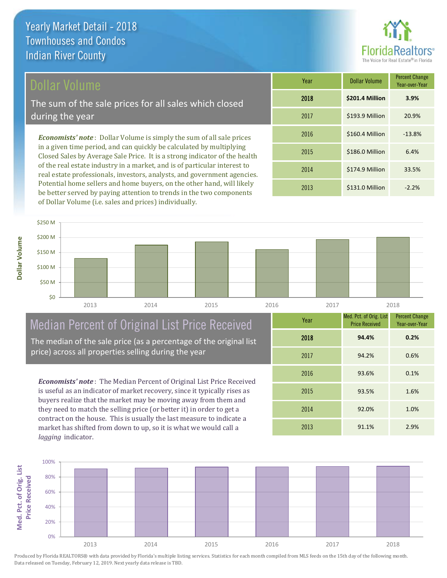

#### Dollar Volume

The sum of the sale prices for all sales which closed during the year

*Economists' note* : Dollar Volume is simply the sum of all sale prices in a given time period, and can quickly be calculated by multiplying Closed Sales by Average Sale Price. It is a strong indicator of the health of the real estate industry in a market, and is of particular interest to real estate professionals, investors, analysts, and government agencies. Potential home sellers and home buyers, on the other hand, will likely be better served by paying attention to trends in the two components of Dollar Volume (i.e. sales and prices) individually.

| Year | <b>Dollar Volume</b> | <b>Percent Change</b><br>Year-over-Year |
|------|----------------------|-----------------------------------------|
| 2018 | \$201.4 Million      | 3.9%                                    |
| 2017 | \$193.9 Million      | 20.9%                                   |
| 2016 | \$160.4 Million      | $-13.8%$                                |
| 2015 | \$186.0 Million      | 6.4%                                    |
| 2014 | \$174.9 Million      | 33.5%                                   |
| 2013 | \$131.0 Million      | $-2.2%$                                 |



## Median Percent of Original List Price Received

The median of the sale price (as a percentage of the original list price) across all properties selling during the year

*Economists' note* : The Median Percent of Original List Price Received is useful as an indicator of market recovery, since it typically rises as buyers realize that the market may be moving away from them and they need to match the selling price (or better it) in order to get a contract on the house. This is usually the last measure to indicate a market has shifted from down to up, so it is what we would call a *lagging* indicator.

| Year | Med. Pct. of Orig. List<br><b>Price Received</b> | <b>Percent Change</b><br>Year-over-Year |
|------|--------------------------------------------------|-----------------------------------------|
| 2018 | 94.4%                                            | 0.2%                                    |
| 2017 | 94.2%                                            | 0.6%                                    |
| 2016 | 93.6%                                            | 0.1%                                    |
| 2015 | 93.5%                                            | 1.6%                                    |
| 2014 | 92.0%                                            | 1.0%                                    |
| 2013 | 91.1%                                            | 2.9%                                    |

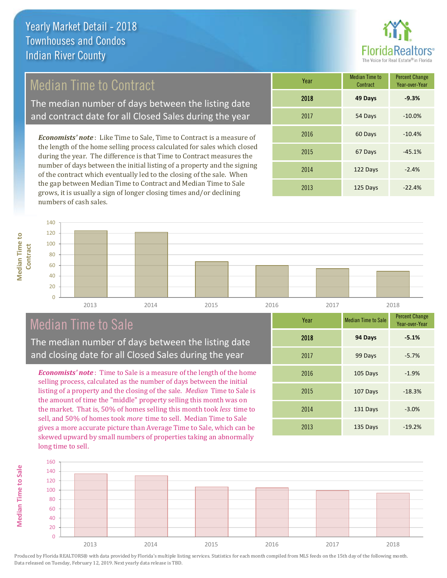## Median Time to Contract

The median number of days between the listing date and contract date for all Closed Sales during the year

*Economists' note* : Like Time to Sale, Time to Contract is a measure of the length of the home selling process calculated for sales which closed during the year. The difference is that Time to Contract measures the number of days between the initial listing of a property and the signing of the contract which eventually led to the closing of the sale. When the gap between Median Time to Contract and Median Time to Sale grows, it is usually a sign of longer closing times and/or declining numbers of cash sales.

| Year | <b>Median Time to</b><br>Contract | <b>Percent Change</b><br>Year-over-Year |
|------|-----------------------------------|-----------------------------------------|
| 2018 | 49 Days                           | $-9.3%$                                 |
| 2017 | 54 Days                           | $-10.0%$                                |
| 2016 | 60 Days                           | $-10.4%$                                |
| 2015 | 67 Days                           | $-45.1%$                                |
| 2014 | 122 Days                          | $-2.4%$                                 |
| 2013 | 125 Days                          | $-22.4%$                                |

**Median Time to Median Time to Contract**

**Median Time to Sale**

**Median Time to Sale** 

| 140 |      |      |      |      |      |      |  |
|-----|------|------|------|------|------|------|--|
| 120 |      |      |      |      |      |      |  |
| 100 |      |      |      |      |      |      |  |
| 80  |      |      |      |      |      |      |  |
| 60  |      |      |      |      |      |      |  |
| 40  |      |      |      |      |      |      |  |
| 20  |      |      |      |      |      |      |  |
| ∽   |      |      |      |      |      |      |  |
|     | 2013 | 2014 | 2015 | 2016 | 2017 | 2018 |  |

## Median Time to Sale

The median number of days between the listing date and closing date for all Closed Sales during the year

*Economists' note* : Time to Sale is a measure of the length of the home selling process, calculated as the number of days between the initial listing of a property and the closing of the sale. *Median* Time to Sale is the amount of time the "middle" property selling this month was on the market. That is, 50% of homes selling this month took *less* time to sell, and 50% of homes took *more* time to sell. Median Time to Sale gives a more accurate picture than Average Time to Sale, which can be skewed upward by small numbers of properties taking an abnormally long time to sell.

| Year | <b>Median Time to Sale</b> | <b>Percent Change</b><br>Year-over-Year |
|------|----------------------------|-----------------------------------------|
| 2018 | 94 Days                    | $-5.1%$                                 |
| 2017 | 99 Days                    | $-5.7%$                                 |
| 2016 | 105 Days                   | $-1.9%$                                 |
| 2015 | 107 Days                   | $-18.3%$                                |
| 2014 | 131 Days                   | $-3.0%$                                 |
| 2013 | 135 Days                   | $-19.2%$                                |

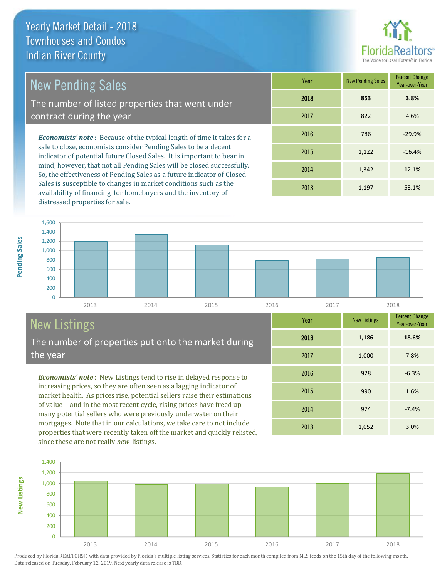

## New Pending Sales

The number of listed properties that went under contract during the year

*Economists' note* : Because of the typical length of time it takes for a sale to close, economists consider Pending Sales to be a decent indicator of potential future Closed Sales. It is important to bear in mind, however, that not all Pending Sales will be closed successfully. So, the effectiveness of Pending Sales as a future indicator of Closed Sales is susceptible to changes in market conditions such as the availability of financing for homebuyers and the inventory of distressed properties for sale.

| Year | <b>New Pending Sales</b> | <b>Percent Change</b><br>Year-over-Year |
|------|--------------------------|-----------------------------------------|
| 2018 | 853                      | 3.8%                                    |
| 2017 | 822                      | 4.6%                                    |
| 2016 | 786                      | $-29.9%$                                |
| 2015 | 1,122                    | $-16.4%$                                |
| 2014 | 1,342                    | 12.1%                                   |
| 2013 | 1,197                    | 53.1%                                   |



# New Listings

**New Listings**

The number of properties put onto the market during the year

*Economists' note* : New Listings tend to rise in delayed response to increasing prices, so they are often seen as a lagging indicator of market health. As prices rise, potential sellers raise their estimations of value—and in the most recent cycle, rising prices have freed up many potential sellers who were previously underwater on their mortgages. Note that in our calculations, we take care to not include properties that were recently taken off the market and quickly relisted, since these are not really *new* listings.

| Year | <b>New Listings</b> | <b>Percent Change</b><br>Year-over-Year |  |  |
|------|---------------------|-----------------------------------------|--|--|
| 2018 | 1,186               | 18.6%                                   |  |  |
| 2017 | 1,000               | 7.8%                                    |  |  |
| 2016 | 928                 | $-6.3%$                                 |  |  |
| 2015 | 990                 | 1.6%                                    |  |  |
| 2014 | 974                 | $-7.4%$                                 |  |  |
| 2013 | 1,052               | 3.0%                                    |  |  |

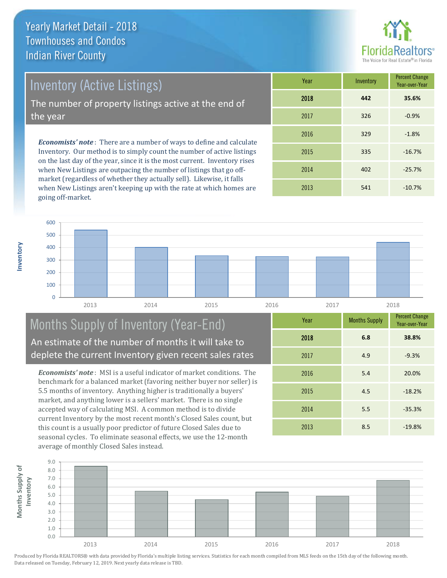

Inventory (Active Listings)

The number of property listings active at the end of the year

*Economists' note* : There are a number of ways to define and calculate Inventory. Our method is to simply count the number of active listings on the last day of the year, since it is the most current. Inventory rises when New Listings are outpacing the number of listings that go offmarket (regardless of whether they actually sell). Likewise, it falls when New Listings aren't keeping up with the rate at which homes are going off-market.

| Year | Inventory | <b>Percent Change</b><br>Year-over-Year |
|------|-----------|-----------------------------------------|
| 2018 | 442       | 35.6%                                   |
| 2017 | 326       | $-0.9%$                                 |
| 2016 | 329       | $-1.8%$                                 |
| 2015 | 335       | $-16.7%$                                |
| 2014 | 402       | $-25.7%$                                |
| 2013 | 541       | $-10.7%$                                |



#### Months Supply of Inventory (Year-End) An estimate of the number of months it will take to deplete the current Inventory given recent sales rates

*Economists' note* : MSI is a useful indicator of market conditions. The benchmark for a balanced market (favoring neither buyer nor seller) is 5.5 months of inventory. Anything higher is traditionally a buyers' market, and anything lower is a sellers' market. There is no single accepted way of calculating MSI. A common method is to divide current Inventory by the most recent month's Closed Sales count, but this count is a usually poor predictor of future Closed Sales due to seasonal cycles. To eliminate seasonal effects, we use the 12-month average of monthly Closed Sales instead.

| Year | <b>Months Supply</b> | <b>Percent Change</b><br>Year-over-Year |
|------|----------------------|-----------------------------------------|
| 2018 | 6.8                  | 38.8%                                   |
| 2017 | 4.9                  | $-9.3%$                                 |
| 2016 | 5.4                  | 20.0%                                   |
| 2015 | 4.5                  | $-18.2%$                                |
| 2014 | 5.5                  | $-35.3%$                                |
| 2013 | 8.5                  | $-19.8%$                                |

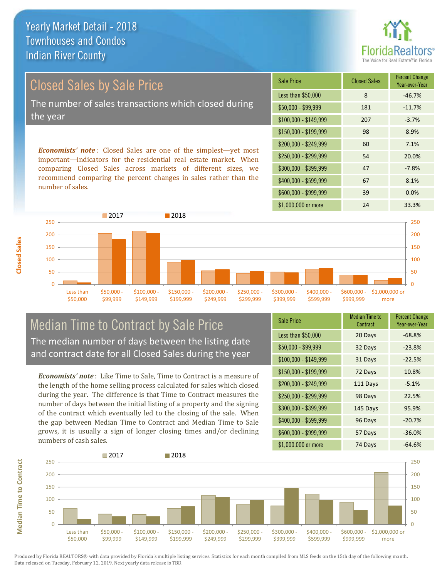

Closed Sales by Sale Price The number of sales transactions which closed during the year

*Economists' note* : Closed Sales are one of the simplest—yet most important—indicators for the residential real estate market. When comparing Closed Sales across markets of different sizes, we recommend comparing the percent changes in sales rather than the number of sales.

| <b>Sale Price</b>     | <b>Closed Sales</b> | <b>Percent Change</b><br>Year-over-Year |
|-----------------------|---------------------|-----------------------------------------|
| Less than \$50,000    | 8                   | $-46.7%$                                |
| $$50,000 - $99,999$   | 181                 | $-11.7%$                                |
| $$100,000 - $149,999$ | 207                 | $-3.7%$                                 |
| $$150,000 - $199,999$ | 98                  | 8.9%                                    |
| \$200,000 - \$249,999 | 60                  | 7.1%                                    |
| \$250,000 - \$299,999 | 54                  | 20.0%                                   |
| \$300,000 - \$399,999 | 47                  | $-7.8%$                                 |
| \$400,000 - \$599,999 | 67                  | 8.1%                                    |
| \$600,000 - \$999,999 | 39                  | 0.0%                                    |
| \$1,000,000 or more   | 24                  | 33.3%                                   |



Median Time to Contract by Sale Price The median number of days between the listing date and contract date for all Closed Sales during the year

*Economists' note* : Like Time to Sale, Time to Contract is a measure of the length of the home selling process calculated for sales which closed during the year. The difference is that Time to Contract measures the number of days between the initial listing of a property and the signing of the contract which eventually led to the closing of the sale. When the gap between Median Time to Contract and Median Time to Sale grows, it is usually a sign of longer closing times and/or declining numbers of cash sales.

| <b>Sale Price</b>     | <b>Median Time to</b><br>Contract | <b>Percent Change</b><br>Year-over-Year |
|-----------------------|-----------------------------------|-----------------------------------------|
| Less than \$50,000    | 20 Days                           | $-68.8%$                                |
| \$50,000 - \$99,999   | 32 Days                           | $-23.8%$                                |
| $$100,000 - $149,999$ | 31 Days                           | $-22.5%$                                |
| $$150,000 - $199,999$ | 72 Days                           | 10.8%                                   |
| \$200,000 - \$249,999 | 111 Days                          | $-5.1%$                                 |
| \$250,000 - \$299,999 | 98 Days                           | 22.5%                                   |
| \$300,000 - \$399,999 | 145 Days                          | 95.9%                                   |
| \$400,000 - \$599,999 | 96 Days                           | $-20.7%$                                |
| \$600,000 - \$999,999 | 57 Days                           | $-36.0%$                                |
| \$1,000,000 or more   | 74 Days                           | $-64.6%$                                |



**Median Time to Contract**

**Median Time to Contract** 

**Closed Sales**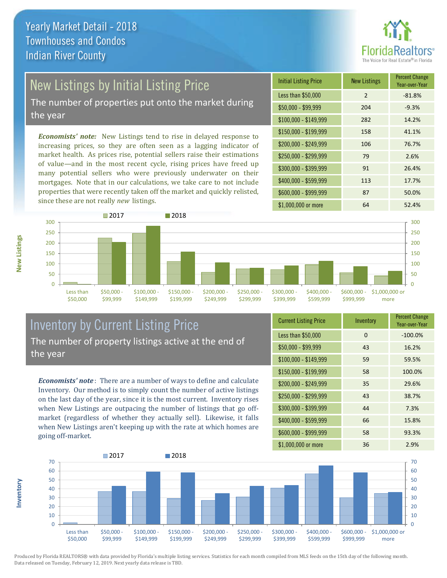

## New Listings by Initial Listing Price

The number of properties put onto the market during the year

*Economists' note:* New Listings tend to rise in delayed response to increasing prices, so they are often seen as a lagging indicator of market health. As prices rise, potential sellers raise their estimations of value—and in the most recent cycle, rising prices have freed up many potential sellers who were previously underwater on their mortgages. Note that in our calculations, we take care to not include properties that were recently taken off the market and quickly relisted, since these are not really *new* listings.

| <b>Initial Listing Price</b> | <b>New Listings</b> | <b>Percent Change</b><br>Year-over-Year |
|------------------------------|---------------------|-----------------------------------------|
| Less than \$50,000           | 2                   | $-81.8%$                                |
| $$50,000 - $99,999$          | 204                 | $-9.3%$                                 |
| $$100,000 - $149,999$        | 282                 | 14.2%                                   |
| $$150,000 - $199,999$        | 158                 | 41.1%                                   |
| \$200,000 - \$249,999        | 106                 | 76.7%                                   |
| \$250,000 - \$299,999        | 79                  | 2.6%                                    |
| \$300,000 - \$399,999        | 91                  | 26.4%                                   |
| \$400,000 - \$599,999        | 113                 | 17.7%                                   |
| \$600,000 - \$999,999        | 87                  | 50.0%                                   |
| \$1,000,000 or more          | 64                  | 52.4%                                   |



#### Inventory by Current Listing Price The number of property listings active at the end of the year

*Economists' note* : There are a number of ways to define and calculate Inventory. Our method is to simply count the number of active listings on the last day of the year, since it is the most current. Inventory rises when New Listings are outpacing the number of listings that go offmarket (regardless of whether they actually sell). Likewise, it falls when New Listings aren't keeping up with the rate at which homes are going off-market.

| <b>Current Listing Price</b> | Inventory | <b>Percent Change</b><br>Year-over-Year |
|------------------------------|-----------|-----------------------------------------|
| Less than \$50,000           | $\Omega$  | $-100.0%$                               |
| $$50,000 - $99,999$          | 43        | 16.2%                                   |
| $$100,000 - $149,999$        | 59        | 59.5%                                   |
| \$150,000 - \$199,999        | 58        | 100.0%                                  |
| \$200,000 - \$249,999        | 35        | 29.6%                                   |
| \$250,000 - \$299,999        | 43        | 38.7%                                   |
| \$300,000 - \$399,999        | 44        | 7.3%                                    |
| \$400,000 - \$599,999        | 66        | 15.8%                                   |
| \$600,000 - \$999,999        | 58        | 93.3%                                   |
| \$1,000,000 or more          | 36        | 2.9%                                    |



Produced by Florida REALTORS® with data provided by Florida's multiple listing services. Statistics for each month compiled from MLS feeds on the 15th day of the following month. Data released on Tuesday, February 12, 2019. Next yearly data release is TBD.

**Inventory**